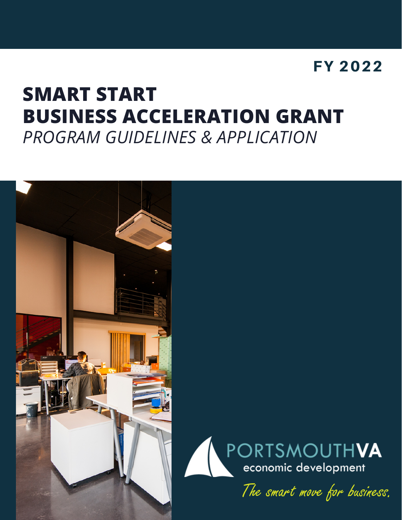## FY 2022

# **SMART START BUSINESS ACCELERATION GRANT** *PROGRAM GUIDELINES & APPLICATION*

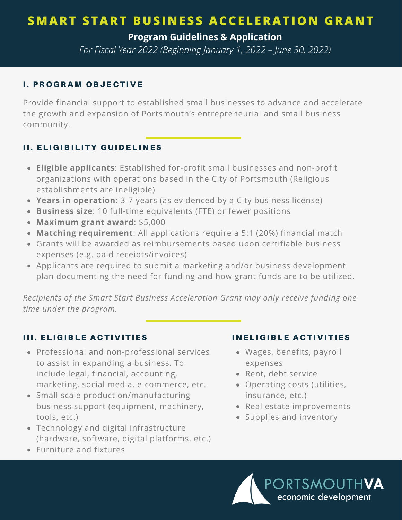**Program Guidelines & Application**

*For Fiscal Year 2022 (Beginning January 1, 2022 – June 30, 2022)*

#### **I. PROGRAM OBJECTIVE**

Provide financial support to established small businesses to advance and accelerate the growth and expansion of Portsmouth's entrepreneurial and small business community.

#### II. ELIGIBILITY GUIDELINES

- **Eligible applicants**: Established for-profit small businesses and non-profit organizations with operations based in the City of Portsmouth (Religious establishments are ineligible)
- **Years in operation**: 3-7 years (as evidenced by a City business license)
- **Business size**: 10 full-time equivalents (FTE) or fewer positions
- **Maximum grant award**: \$5,000
- **Matching requirement**: All applications require a 5:1 (20%) financial match
- Grants will be awarded as reimbursements based upon certifiable business expenses (e.g. paid receipts/invoices)
- Applicants are required to submit a marketing and/or business development plan documenting the need for funding and how grant funds are to be utilized.

*Recipients of the Smart Start Business Acceleration Grant may only receive funding one time under the program.*

#### **III. ELIGIBLE ACTIVITIES**

- Professional and non-professional services to assist in expanding a business. To include legal, financial, accounting, marketing, social media, e-commerce, etc.
- Small scale production/manufacturing business support (equipment, machinery, tools, etc.)
- Technology and digital infrastructure (hardware, software, digital platforms, etc.)
- Furniture and fixtures

#### IN ELIGIBLE ACTIVITIES

- Wages, benefits, payroll expenses
- Rent, debt service
- Operating costs (utilities, insurance, etc.)
- Real estate improvements
- Supplies and inventory

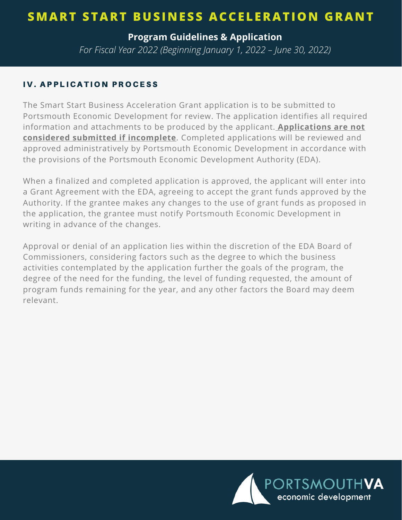**Program Guidelines & Application**

*For Fiscal Year 2022 (Beginning January 1, 2022 – June 30, 2022)*

#### IV. APPLICATION PROCESS

The Smart Start Business Acceleration Grant application is to be submitted to Portsmouth Economic Development for review. The application identifies all required information and attachments to be produced by the applicant. **Applications are not considered submitted if incomplete**. Completed applications will be reviewed and approved administratively by Portsmouth Economic Development in accordance with the provisions of the Portsmouth Economic Development Authority (EDA).

When a finalized and completed application is approved, the applicant will enter into a Grant Agreement with the EDA, agreeing to accept the grant funds approved by the Authority. If the grantee makes any changes to the use of grant funds as proposed in the application, the grantee must notify Portsmouth Economic Development in writing in advance of the changes.

Approval or denial of an application lies within the discretion of the EDA Board of Commissioners, considering factors such as the degree to which the business activities contemplated by the application further the goals of the program, the degree of the need for the funding, the level of funding requested, the amount of program funds remaining for the year, and any other factors the Board may deem relevant.

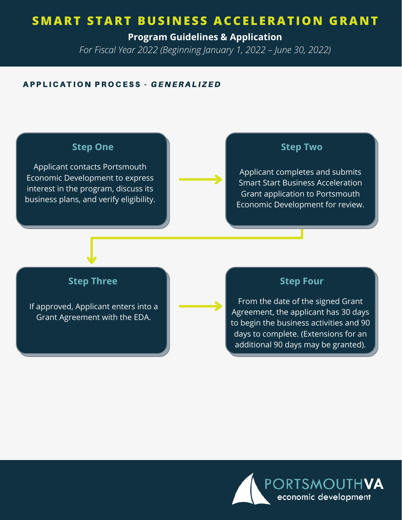**Program Guidelines & Application**

*For Fiscal Year 2022 (Beginning January 1, 2022 – June 30, 2022)*

#### A P P L I C A T I O N P R O CESS - GENERALIZED

#### **Step One**

Applicant contacts Portsmouth Economic Development to express interest in the program, discuss its business plans, and verify eligibility.

#### **Step Two**

Applicant completes and submits Smart Start Business Acceleration Grant application to Portsmouth Economic Development for review.

#### **Step Three**

If approved, Applicant enters into a Grant Agreement with the EDA.

#### **Step Four**

From the date of the signed Grant Agreement, the applicant has 30 days to begin the business activities and 90 days to complete. (Extensions for an additional 90 days may be granted).

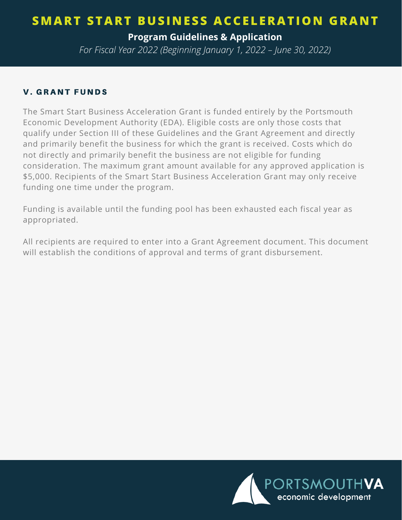**Program Guidelines & Application**

*For Fiscal Year 2022 (Beginning January 1, 2022 – June 30, 2022)*

#### **V. GRANT FUNDS**

The Smart Start Business Acceleration Grant is funded entirely by the Portsmouth Economic Development Authority (EDA). Eligible costs are only those costs that qualify under Section III of these Guidelines and the Grant Agreement and directly and primarily benefit the business for which the grant is received. Costs which do not directly and primarily benefit the business are not eligible for funding consideration. The maximum grant amount available for any approved application is \$5,000. Recipients of the Smart Start Business Acceleration Grant may only receive funding one time under the program.

Funding is available until the funding pool has been exhausted each fiscal year as appropriated.

All recipients are required to enter into a Grant Agreement document. This document will establish the conditions of approval and terms of grant disbursement.

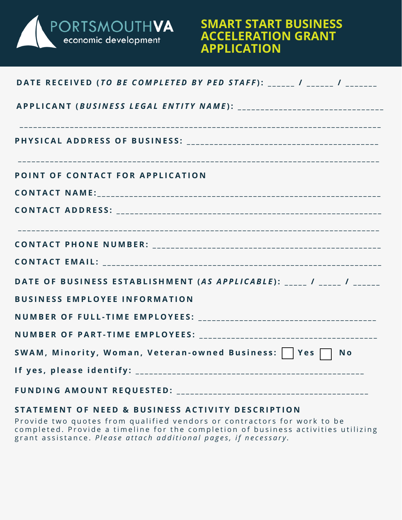

### **SMART START BUSINESS ACCELERATION GRANT APPLICATION**

| DATE RECEIVED (TO BE COMPLETED BY PED STAFF): ______ / ______ / _______ |  |
|-------------------------------------------------------------------------|--|
|                                                                         |  |
|                                                                         |  |
| POINT OF CONTACT FOR APPLICATION                                        |  |
|                                                                         |  |
|                                                                         |  |
|                                                                         |  |
|                                                                         |  |
| DATE OF BUSINESS ESTABLISHMENT (AS APPLICABLE): _____ / _____ / ______  |  |
| <b>BUSINESS EMPLOYEE INFORMATION</b>                                    |  |
|                                                                         |  |
|                                                                         |  |
| SWAM, Minority, Woman, Veteran-owned Business:     Yes   No             |  |
|                                                                         |  |
|                                                                         |  |

#### **STATEMENT OF NEED & BUSINESS ACTIVITY DESCRIPTION**

Provide two quotes from qualified vendors or contractors for work to be completed. Provide a timeline for the completion of business activities utilizing grant assistance. Please attach additional pages, if necessary.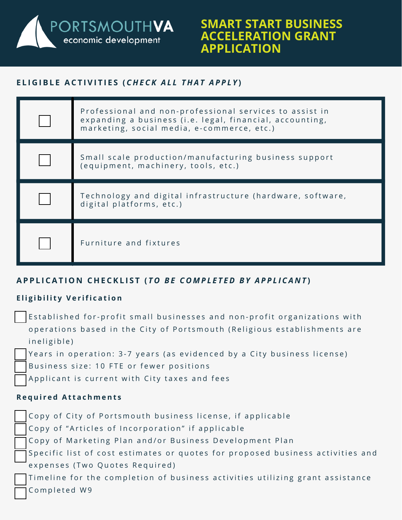PORTSMOUTH**VA**<br>
economic development

### **SMART START BUSINESS ACCELERATION GRANT APPLICATION**

#### **E L I G I B L E A C T I V I T I E S (** *C H E C K A L L T H A T A P P L Y* **)**

| Professional and non-professional services to assist in<br>expanding a business (i.e. legal, financial, accounting,<br>marketing, social media, e-commerce, etc.) |
|-------------------------------------------------------------------------------------------------------------------------------------------------------------------|
| Small scale production/manufacturing business support<br>(equipment, machinery, tools, etc.)                                                                      |
| Technology and digital infrastructure (hardware, software,<br>digital platforms, etc.)                                                                            |
| Furniture and fixtures                                                                                                                                            |

#### **A P P L I C A T I O N C H E C K L I S T (** *T O B E C O M P L E T E D B Y A P P L I C A N T* **)**

#### **Eligibility Verification**

- Established for-profit small businesses and non-profit organizations with operations based in the City of Portsmouth (Religious establishments are in e ligible)
	- Years in operation: 3-7 years (as evidenced by a City business license)
- Business size: 10 FTE or fewer positions
- Applicant is current with City taxes and fees

#### **R e q u i r e d A t t a c h m e n t s**

Copy of City of Portsmouth business license, if applicable Copy of "Articles of Incorporation" if applicable Copy of Marketing Plan and/or Business Development Plan Specific list of cost estimates or quotes for proposed business activities and expenses (Two Quotes Required) Timeline for the completion of business activities utilizing grant assistance Completed W9